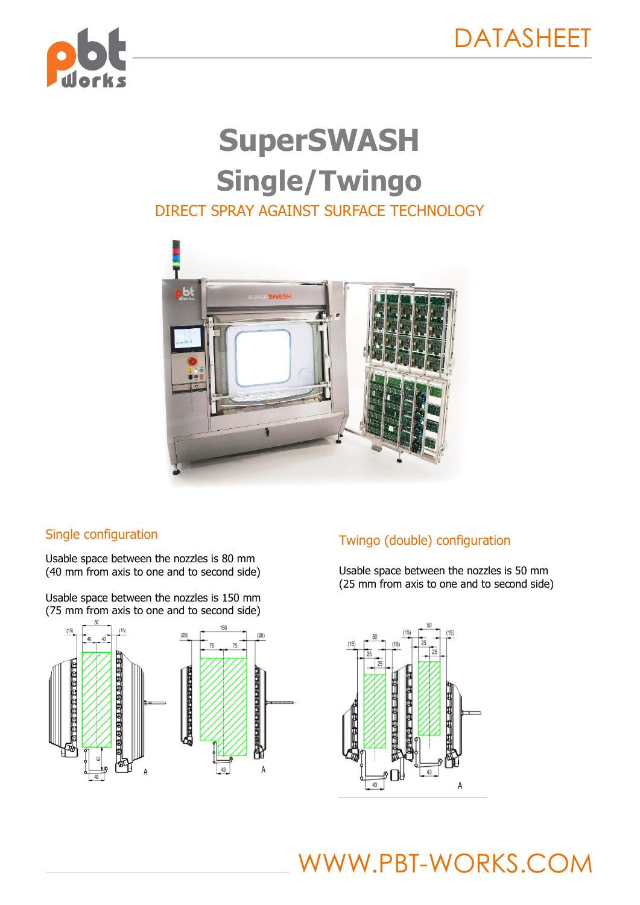

# **SuperSWASH Single/Twingo** DIRECT SPRAY AGAINST SURFACE TECHNOLOGY



## Single configuration

Usable space between the nozzles is 80 mm (40 mm from axis to one and to second side)

Usable space between the nozzles is 150 mm (75 mm from axis to one and to second side)



## Twingo (double) configuration

Usable space between the nozzles is 50 mm (25 mm from axis to one and to second side)

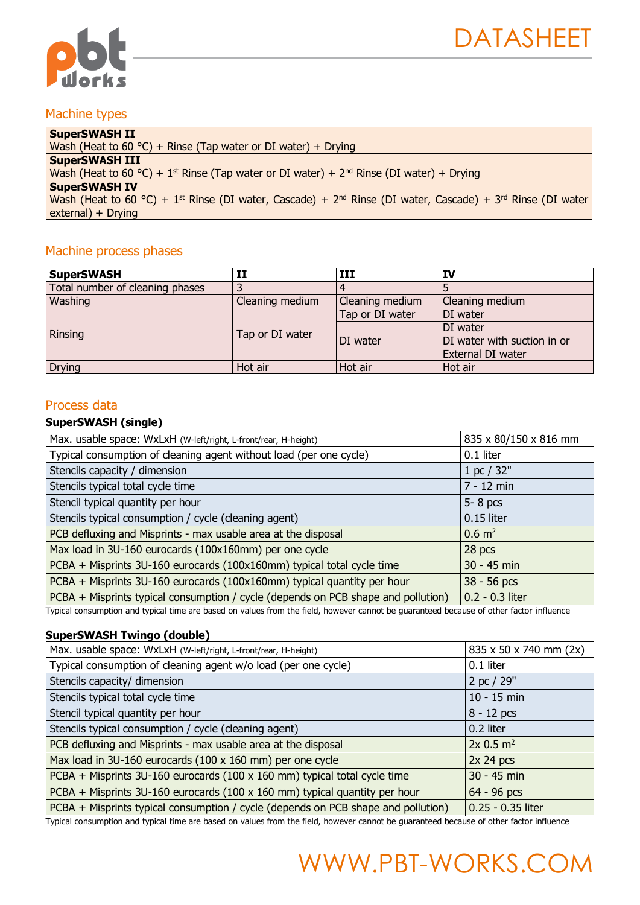

### Machine types

| <b>SuperSWASH II</b>                                                                                                                           |
|------------------------------------------------------------------------------------------------------------------------------------------------|
| Wash (Heat to 60 °C) + Rinse (Tap water or DI water) + Drying                                                                                  |
| <b>SuperSWASH III</b>                                                                                                                          |
| Wash (Heat to 60 °C) + 1 <sup>st</sup> Rinse (Tap water or DI water) + 2 <sup>nd</sup> Rinse (DI water) + Drying                               |
| <b>SuperSWASH IV</b>                                                                                                                           |
| Wash (Heat to 60 °C) + 1 <sup>st</sup> Rinse (DI water, Cascade) + 2 <sup>nd</sup> Rinse (DI water, Cascade) + 3 <sup>rd</sup> Rinse (DI water |
| external) + Drying                                                                                                                             |

### Machine process phases

| <b>SuperSWASH</b>               | H               | ш               | IV                          |
|---------------------------------|-----------------|-----------------|-----------------------------|
| Total number of cleaning phases | 3               |                 |                             |
| Washing                         | Cleaning medium | Cleaning medium | Cleaning medium             |
|                                 | Tap or DI water | Tap or DI water | DI water                    |
| Rinsing                         |                 | DI water        | DI water                    |
|                                 |                 |                 | DI water with suction in or |
|                                 |                 |                 | External DI water           |
| <b>Drying</b>                   | Hot air         | Hot air         | Hot air                     |

#### Process data

#### **SuperSWASH (single)**

| Max. usable space: WxLxH (W-left/right, L-front/rear, H-height)                   | 835 x 80/150 x 816 mm |
|-----------------------------------------------------------------------------------|-----------------------|
| Typical consumption of cleaning agent without load (per one cycle)                | 0.1 liter             |
| Stencils capacity / dimension                                                     | 1 pc / 32"            |
| Stencils typical total cycle time                                                 | $7 - 12$ min          |
| Stencil typical quantity per hour                                                 | $5 - 8$ pcs           |
| Stencils typical consumption / cycle (cleaning agent)                             | 0.15 liter            |
| PCB defluxing and Misprints - max usable area at the disposal                     | $0.6 \text{ m}^2$     |
| Max load in 3U-160 eurocards (100x160mm) per one cycle                            | 28 pcs                |
| PCBA + Misprints 3U-160 eurocards (100x160mm) typical total cycle time            | 30 - 45 min           |
| PCBA + Misprints 3U-160 eurocards (100x160mm) typical quantity per hour           | 38 - 56 pcs           |
| PCBA + Misprints typical consumption / cycle (depends on PCB shape and pollution) | 0.2 - 0.3 liter       |

Typical consumption and typical time are based on values from the field, however cannot be guaranteed because of other factor influence

#### **SuperSWASH Twingo (double)**

| Max. usable space: WxLxH (W-left/right, L-front/rear, H-height)                   | 835 x 50 x 740 mm (2x) |
|-----------------------------------------------------------------------------------|------------------------|
| Typical consumption of cleaning agent w/o load (per one cycle)                    | 0.1 liter              |
| Stencils capacity/ dimension                                                      | 2 pc / 29"             |
| Stencils typical total cycle time                                                 | $10 - 15$ min          |
| Stencil typical quantity per hour                                                 | $8 - 12$ pcs           |
| Stencils typical consumption / cycle (cleaning agent)                             | 0.2 liter              |
| PCB defluxing and Misprints - max usable area at the disposal                     | 2x 0.5 m <sup>2</sup>  |
| Max load in 3U-160 eurocards (100 x 160 mm) per one cycle                         | 2x 24 pcs              |
| PCBA + Misprints 3U-160 eurocards (100 x 160 mm) typical total cycle time         | 30 - 45 min            |
| PCBA + Misprints 3U-160 eurocards (100 x 160 mm) typical quantity per hour        | 64 - 96 pcs            |
| PCBA + Misprints typical consumption / cycle (depends on PCB shape and pollution) | 0.25 - 0.35 liter      |

Typical consumption and typical time are based on values from the field, however cannot be guaranteed because of other factor influence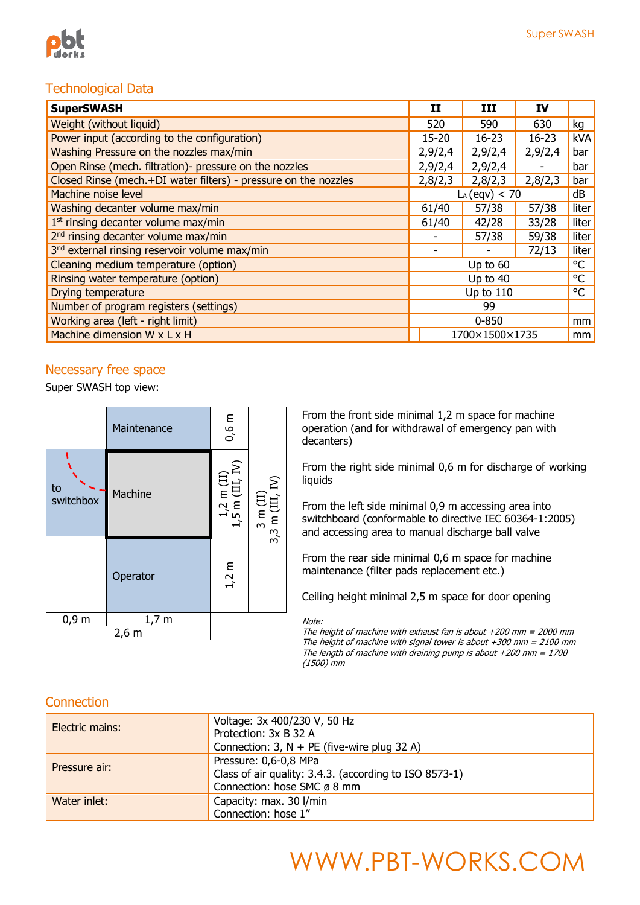

## Technological Data

| <b>SuperSWASH</b>                                               |                  | ш         | IV      |       |
|-----------------------------------------------------------------|------------------|-----------|---------|-------|
| Weight (without liquid)                                         | 520              | 590       | 630     | kg    |
| Power input (according to the configuration)                    | $15 - 20$        | $16 - 23$ | 16-23   | kVA   |
| Washing Pressure on the nozzles max/min                         | 2,9/2,4          | 2,9/2,4   | 2,9/2,4 | bar   |
| Open Rinse (mech. filtration)- pressure on the nozzles          | 2,9/2,4          | 2,9/2,4   | -       | bar   |
| Closed Rinse (mech.+DI water filters) - pressure on the nozzles | 2,8/2,3          | 2,8/2,3   | 2,8/2,3 | bar   |
| Machine noise level                                             | $L_A$ (eqv) < 70 |           | dB      |       |
| Washing decanter volume max/min                                 | 61/40            | 57/38     | 57/38   | liter |
| $1st$ rinsing decanter volume max/min                           | 61/40            | 42/28     | 33/28   | liter |
| 2 <sup>nd</sup> rinsing decanter volume max/min                 |                  | 57/38     | 59/38   | liter |
| 3 <sup>nd</sup> external rinsing reservoir volume max/min       |                  |           | 72/13   | liter |
| Cleaning medium temperature (option)                            | °C<br>Up to $60$ |           |         |       |
| Rinsing water temperature (option)                              | Up to 40         |           | °C      |       |
| Drying temperature                                              | Up to 110        |           | °C      |       |
| Number of program registers (settings)                          | 99               |           |         |       |
| Working area (left - right limit)                               | $0 - 850$        |           | mm      |       |
| Machine dimension W x L x H                                     | 1700×1500×1735   |           |         | mm    |

### Necessary free space

Super SWASH top view:



From the front side minimal 1,2 m space for machine operation (and for withdrawal of emergency pan with decanters)

From the right side minimal 0,6 m for discharge of working liquids

From the left side minimal 0,9 m accessing area into switchboard (conformable to directive IEC 60364-1:2005) and accessing area to manual discharge ball valve

From the rear side minimal 0,6 m space for machine maintenance (filter pads replacement etc.)

Ceiling height minimal 2,5 m space for door opening

Note:

The height of machine with exhaust fan is about  $+200$  mm = 2000 mm The height of machine with signal tower is about  $+300$  mm = 2100 mm The length of machine with draining pump is about  $+200$  mm = 1700 (1500) mm

### **Connection**

| Electric mains: | Voltage: 3x 400/230 V, 50 Hz<br>Protection: 3x B 32 A<br>Connection: $3$ , N + PE (five-wire plug 32 A)                    |
|-----------------|----------------------------------------------------------------------------------------------------------------------------|
| Pressure air:   | Pressure: 0,6-0,8 MPa<br>Class of air quality: 3.4.3. (according to ISO 8573-1)<br>Connection: hose SMC $\varnothing$ 8 mm |
| Water inlet:    | Capacity: max. 30 l/min<br>Connection: hose 1"                                                                             |